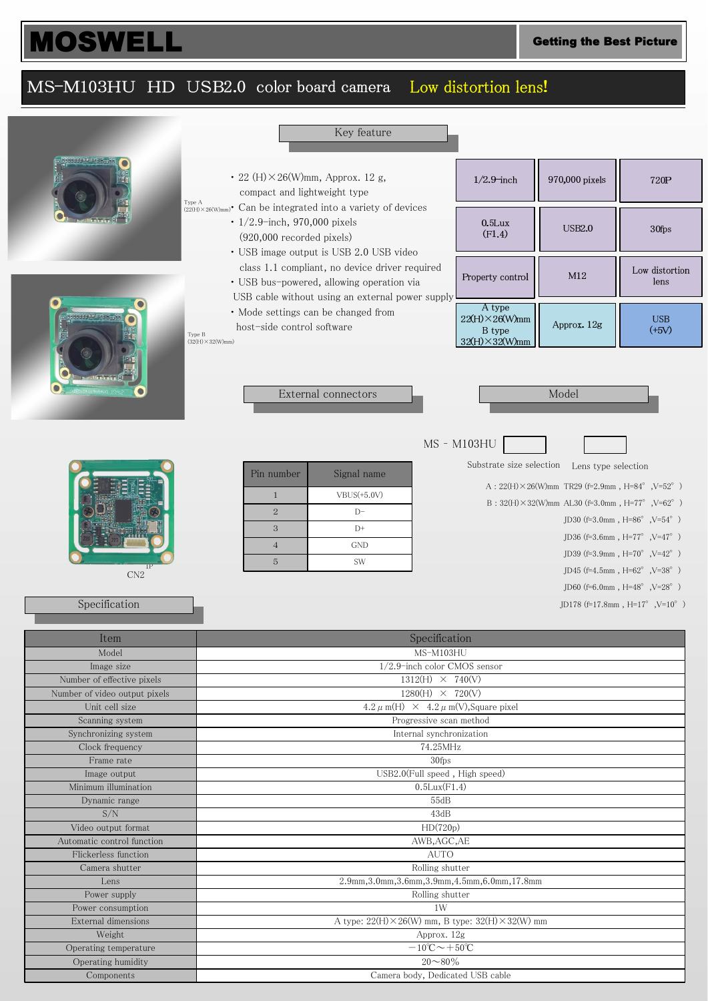## MOSWELL Getting the Best Picture

## MS-M103HU HD USB2.0 color board camera Low distortion lens!

 $\lambda$ 

|                                          |                                                                 | Key feature                                                                                                                                               |                                                                        |                                                         |                                                    |  |
|------------------------------------------|-----------------------------------------------------------------|-----------------------------------------------------------------------------------------------------------------------------------------------------------|------------------------------------------------------------------------|---------------------------------------------------------|----------------------------------------------------|--|
|                                          | Type A                                                          | $\cdot$ 22 (H) $\times$ 26(W)mm, Approx. 12 g,<br>compact and lightweight type<br>$(22(H)) \times 26(W)_{mm}$ Can be integrated into a variety of devices |                                                                        | 970,000 pixels                                          | 720P                                               |  |
|                                          | $\cdot$ 1/2.9-inch, 970,000 pixels<br>(920,000 recorded pixels) | · USB image output is USB 2.0 USB video                                                                                                                   | 0.5Lux<br>(F1.4)                                                       | <b>USB2.0</b>                                           | 30fps                                              |  |
|                                          |                                                                 | class 1.1 compliant, no device driver required<br>• USB bus-powered, allowing operation via<br>USB cable without using an external power supply           | Property control                                                       | M12                                                     | Low distortion<br>lens                             |  |
| sser poor en <sub>ra</sub> ge            | host-side control software<br>Type B<br>$(32(H)\times32(W)$ mm) | • Mode settings can be changed from                                                                                                                       | A type<br>$22(H) \times 26(W)$ mm<br>B type<br>$32(H) \times 32(W)$ mm | Approx. 12g                                             | <b>USB</b><br>$(+5V)$                              |  |
|                                          | Model<br>External connectors                                    |                                                                                                                                                           |                                                                        |                                                         |                                                    |  |
|                                          |                                                                 |                                                                                                                                                           | MS - M103HU                                                            |                                                         |                                                    |  |
|                                          |                                                                 |                                                                                                                                                           | Substrate size selection                                               | Lens type selection                                     |                                                    |  |
|                                          | Pin number                                                      | Signal name                                                                                                                                               |                                                                        | A: $22(H) \times 26(W)$ mm TR29 (f=2.9mm, H=84°, V=52°) |                                                    |  |
|                                          | $\mathbf{1}$                                                    | $VBUS(+5.0V)$                                                                                                                                             |                                                                        |                                                         |                                                    |  |
|                                          | $\sqrt{2}$                                                      | B: $32(H) \times 32(W)$ mm AL30 (f=3.0mm, H=77°, V=62°)<br>$D-$                                                                                           |                                                                        |                                                         |                                                    |  |
|                                          | 3                                                               | $D+$                                                                                                                                                      | JD30 (f=3.0mm, $H=86^{\circ}$ , $V=54^{\circ}$ )                       |                                                         |                                                    |  |
|                                          | $\overline{4}$                                                  | <b>GND</b>                                                                                                                                                |                                                                        |                                                         | JD36 (f=3.6mm, H=77°, V=47°)                       |  |
|                                          | $\overline{5}$                                                  | SW                                                                                                                                                        |                                                                        |                                                         | JD39 (f=3.9mm, H=70 $\degree$ , V=42 $\degree$ )   |  |
| CN2                                      |                                                                 |                                                                                                                                                           |                                                                        |                                                         | JD45 (f=4.5mm, $H=62^{\circ}$ , $V=38^{\circ}$ )   |  |
|                                          |                                                                 | JD60 (f=6.0mm, $H=48^{\circ}$ , $V=28^{\circ}$ )                                                                                                          |                                                                        |                                                         |                                                    |  |
| Specification                            |                                                                 |                                                                                                                                                           |                                                                        |                                                         | JD178 (f=17.8mm, $H=17^{\circ}$ , $V=10^{\circ}$ ) |  |
| Item                                     |                                                                 | Specification                                                                                                                                             |                                                                        |                                                         |                                                    |  |
| Model                                    |                                                                 | MS-M103HU                                                                                                                                                 |                                                                        |                                                         |                                                    |  |
| Image size                               |                                                                 | $1/2.9$ -inch color CMOS sensor                                                                                                                           |                                                                        |                                                         |                                                    |  |
| Number of effective pixels               |                                                                 | $1312(H) \times 740(V)$                                                                                                                                   |                                                                        |                                                         |                                                    |  |
| Number of video output pixels            |                                                                 | $1280(H) \times 720(V)$                                                                                                                                   |                                                                        |                                                         |                                                    |  |
| Unit cell size                           |                                                                 | $4.2 \mu$ m(H) $\times$ 4.2 $\mu$ m(V), Square pixel                                                                                                      |                                                                        |                                                         |                                                    |  |
| Scanning system                          |                                                                 | Progressive scan method                                                                                                                                   |                                                                        |                                                         |                                                    |  |
| Synchronizing system                     |                                                                 | Internal synchronization<br>74.25MHz                                                                                                                      |                                                                        |                                                         |                                                    |  |
| Clock frequency<br>Frame rate            |                                                                 | 30fps                                                                                                                                                     |                                                                        |                                                         |                                                    |  |
| Image output                             |                                                                 | USB2.0(Full speed, High speed)                                                                                                                            |                                                                        |                                                         |                                                    |  |
| Minimum illumination                     |                                                                 | $0.5$ Lux $(F1.4)$                                                                                                                                        |                                                                        |                                                         |                                                    |  |
| Dynamic range                            |                                                                 | 55dB                                                                                                                                                      |                                                                        |                                                         |                                                    |  |
| S/N                                      |                                                                 | 43dB                                                                                                                                                      |                                                                        |                                                         |                                                    |  |
| Video output format                      |                                                                 | HD(720p)                                                                                                                                                  |                                                                        |                                                         |                                                    |  |
| Automatic control function               |                                                                 | AWB, AGC, AE                                                                                                                                              |                                                                        |                                                         |                                                    |  |
| Flickerless function                     |                                                                 | <b>AUTO</b>                                                                                                                                               |                                                                        |                                                         |                                                    |  |
| Camera shutter                           |                                                                 | Rolling shutter                                                                                                                                           |                                                                        |                                                         |                                                    |  |
| Lens                                     |                                                                 | 2.9mm, 3.0mm, 3.6mm, 3.9mm, 4.5mm, 6.0mm, 17.8mm                                                                                                          |                                                                        |                                                         |                                                    |  |
| Power supply                             |                                                                 | Rolling shutter                                                                                                                                           |                                                                        |                                                         |                                                    |  |
| Power consumption<br>External dimensions |                                                                 | 1W<br>A type: $22(H) \times 26(W)$ mm, B type: $32(H) \times 32(W)$ mm                                                                                    |                                                                        |                                                         |                                                    |  |
| Weight                                   |                                                                 | Approx. 12g                                                                                                                                               |                                                                        |                                                         |                                                    |  |
| Operating temperature                    |                                                                 | $-10^{\circ}\text{C}\rightarrow+50^{\circ}\text{C}$                                                                                                       |                                                                        |                                                         |                                                    |  |
| Operating humidity                       |                                                                 | $20 \sim 80\%$                                                                                                                                            |                                                                        |                                                         |                                                    |  |
| Components                               |                                                                 | Camera body, Dedicated USB cable                                                                                                                          |                                                                        |                                                         |                                                    |  |
|                                          |                                                                 |                                                                                                                                                           |                                                                        |                                                         |                                                    |  |